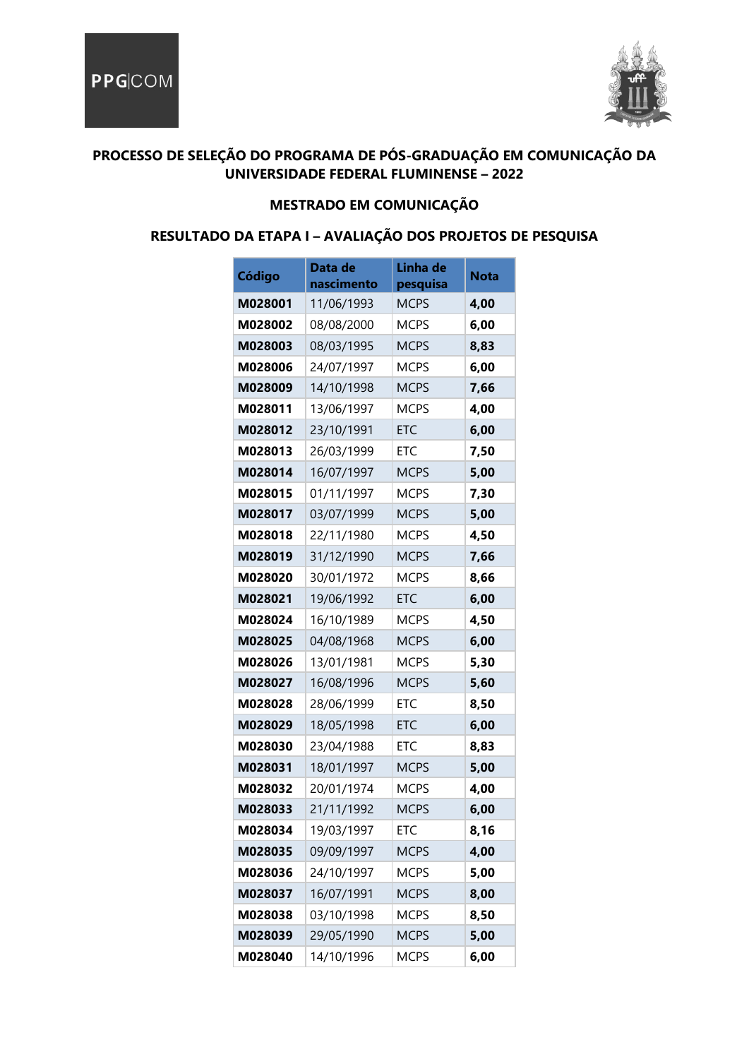

### **PROCESSO DE SELEÇÃO DO PROGRAMA DE PÓS-GRADUAÇÃO EM COMUNICAÇÃO DA UNIVERSIDADE FEDERAL FLUMINENSE – 2022**

#### **MESTRADO EM COMUNICAÇÃO**

### **RESULTADO DA ETAPA I – AVALIAÇÃO DOS PROJETOS DE PESQUISA**

| Código  | Data de<br>nascimento | Linha de<br>pesquisa | Nota |
|---------|-----------------------|----------------------|------|
| M028001 | 11/06/1993            | <b>MCPS</b>          | 4,00 |
| M028002 | 08/08/2000            | <b>MCPS</b>          | 6,00 |
| M028003 | 08/03/1995            | <b>MCPS</b>          | 8,83 |
| M028006 | 24/07/1997            | <b>MCPS</b>          | 6,00 |
| M028009 | 14/10/1998            | <b>MCPS</b>          | 7,66 |
| M028011 | 13/06/1997            | <b>MCPS</b>          | 4,00 |
| M028012 | 23/10/1991            | <b>FTC</b>           | 6,00 |
| M028013 | 26/03/1999            | ETC                  | 7,50 |
| M028014 | 16/07/1997            | <b>MCPS</b>          | 5,00 |
| M028015 | 01/11/1997            | <b>MCPS</b>          | 7,30 |
| M028017 | 03/07/1999            | <b>MCPS</b>          | 5,00 |
| M028018 | 22/11/1980            | <b>MCPS</b>          | 4,50 |
| M028019 | 31/12/1990            | <b>MCPS</b>          | 7,66 |
| M028020 | 30/01/1972            | <b>MCPS</b>          | 8,66 |
| M028021 | 19/06/1992            | <b>FTC</b>           | 6,00 |
| M028024 | 16/10/1989            | <b>MCPS</b>          | 4,50 |
| M028025 | 04/08/1968            | <b>MCPS</b>          | 6,00 |
| M028026 | 13/01/1981            | <b>MCPS</b>          | 5,30 |
| M028027 | 16/08/1996            | <b>MCPS</b>          | 5,60 |
| M028028 | 28/06/1999            | <b>ETC</b>           | 8,50 |
| M028029 | 18/05/1998            | <b>ETC</b>           | 6,00 |
| M028030 | 23/04/1988            | ETC                  | 8,83 |
| M028031 | 18/01/1997            | <b>MCPS</b>          | 5,00 |
| M028032 | 20/01/1974            | <b>MCPS</b>          | 4,00 |
| M028033 | 21/11/1992            | <b>MCPS</b>          | 6,00 |
| M028034 | 19/03/1997            | <b>ETC</b>           | 8,16 |
| M028035 | 09/09/1997            | <b>MCPS</b>          | 4,00 |
| M028036 | 24/10/1997            | <b>MCPS</b>          | 5,00 |
| M028037 | 16/07/1991            | <b>MCPS</b>          | 8,00 |
| M028038 | 03/10/1998            | <b>MCPS</b>          | 8,50 |
| M028039 | 29/05/1990            | <b>MCPS</b>          | 5,00 |
| M028040 | 14/10/1996            | <b>MCPS</b>          | 6,00 |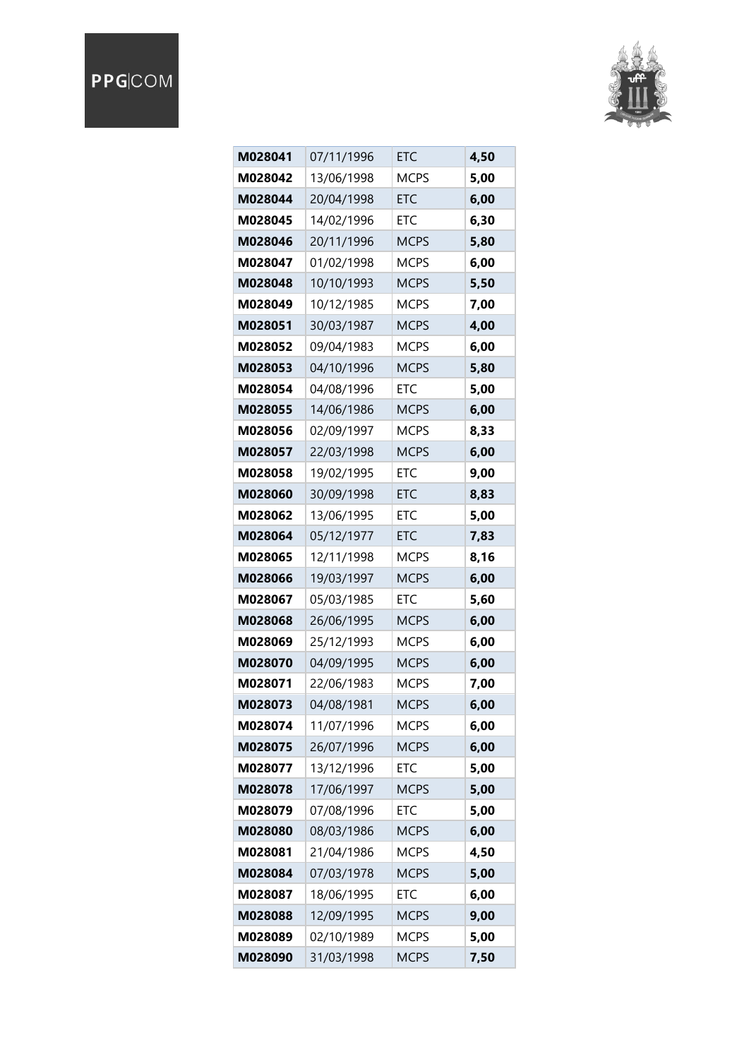## PPGCOM



| M028041 | 07/11/1996 | <b>ETC</b>  | 4,50 |
|---------|------------|-------------|------|
| M028042 | 13/06/1998 | <b>MCPS</b> | 5,00 |
| M028044 | 20/04/1998 | <b>ETC</b>  | 6,00 |
| M028045 | 14/02/1996 | ETC         | 6,30 |
| M028046 | 20/11/1996 | <b>MCPS</b> | 5,80 |
| M028047 | 01/02/1998 | <b>MCPS</b> | 6,00 |
| M028048 | 10/10/1993 | <b>MCPS</b> | 5,50 |
| M028049 | 10/12/1985 | <b>MCPS</b> | 7,00 |
| M028051 | 30/03/1987 | <b>MCPS</b> | 4,00 |
| M028052 | 09/04/1983 | <b>MCPS</b> | 6,00 |
| M028053 | 04/10/1996 | <b>MCPS</b> | 5,80 |
| M028054 | 04/08/1996 | ETC         | 5,00 |
| M028055 | 14/06/1986 | <b>MCPS</b> | 6,00 |
| M028056 | 02/09/1997 | <b>MCPS</b> | 8,33 |
| M028057 | 22/03/1998 | <b>MCPS</b> | 6,00 |
| M028058 | 19/02/1995 | ETC         | 9,00 |
| M028060 | 30/09/1998 | <b>ETC</b>  | 8,83 |
| M028062 | 13/06/1995 | ETC         | 5,00 |
| M028064 | 05/12/1977 | <b>ETC</b>  | 7,83 |
| M028065 | 12/11/1998 | <b>MCPS</b> | 8,16 |
| M028066 | 19/03/1997 | <b>MCPS</b> | 6,00 |
| M028067 | 05/03/1985 | ETC         | 5,60 |
| M028068 | 26/06/1995 | <b>MCPS</b> | 6,00 |
| M028069 | 25/12/1993 | <b>MCPS</b> | 6,00 |
| M028070 | 04/09/1995 | <b>MCPS</b> | 6,00 |
| M028071 | 22/06/1983 | <b>MCPS</b> | 7,00 |
| M028073 | 04/08/1981 | <b>MCPS</b> | 6,00 |
| M028074 | 11/07/1996 | <b>MCPS</b> | 6,00 |
| M028075 | 26/07/1996 | <b>MCPS</b> | 6,00 |
| M028077 | 13/12/1996 | ETC         | 5,00 |
| M028078 | 17/06/1997 | <b>MCPS</b> | 5,00 |
| M028079 | 07/08/1996 | <b>ETC</b>  | 5,00 |
| M028080 | 08/03/1986 | <b>MCPS</b> | 6,00 |
| M028081 | 21/04/1986 | <b>MCPS</b> | 4,50 |
| M028084 | 07/03/1978 | <b>MCPS</b> | 5,00 |
| M028087 | 18/06/1995 | <b>ETC</b>  | 6,00 |
| M028088 | 12/09/1995 | <b>MCPS</b> | 9,00 |
| M028089 | 02/10/1989 | <b>MCPS</b> | 5,00 |
| M028090 | 31/03/1998 | <b>MCPS</b> | 7.50 |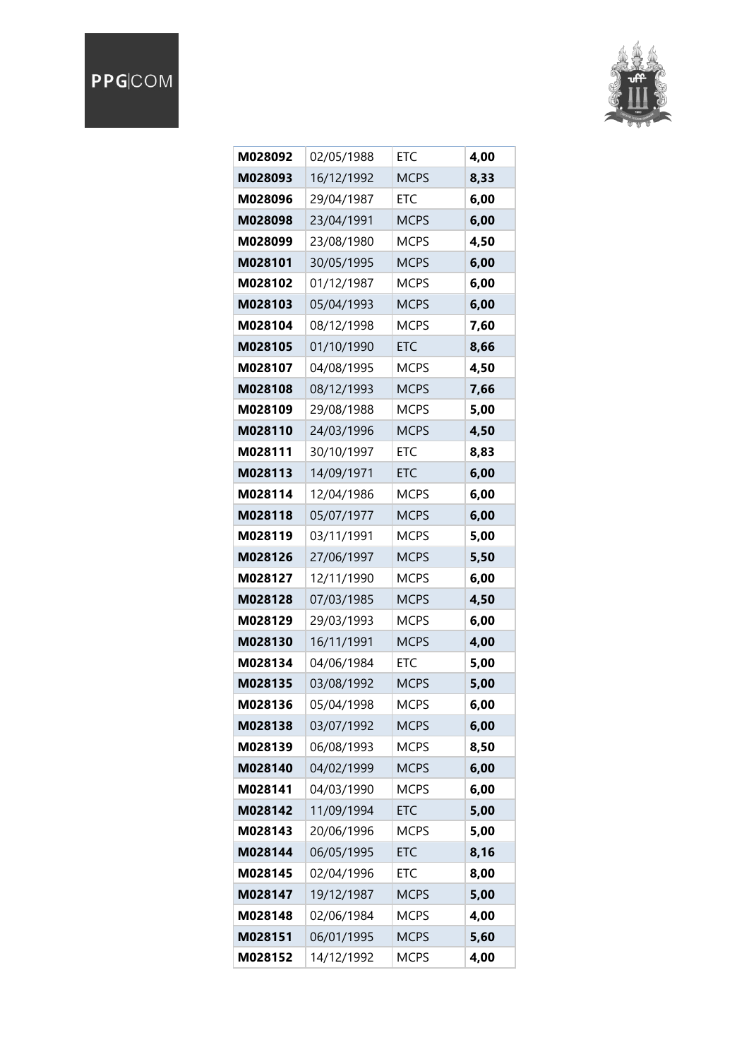## PPGCOM



| M028092 | 02/05/1988 | <b>ETC</b>  | 4,00 |
|---------|------------|-------------|------|
| M028093 | 16/12/1992 | <b>MCPS</b> | 8,33 |
| M028096 | 29/04/1987 | <b>ETC</b>  | 6,00 |
| M028098 | 23/04/1991 | <b>MCPS</b> | 6,00 |
| M028099 | 23/08/1980 | <b>MCPS</b> | 4,50 |
| M028101 | 30/05/1995 | <b>MCPS</b> | 6,00 |
| M028102 | 01/12/1987 | <b>MCPS</b> | 6,00 |
| M028103 | 05/04/1993 | <b>MCPS</b> | 6,00 |
| M028104 | 08/12/1998 | <b>MCPS</b> | 7,60 |
| M028105 | 01/10/1990 | <b>ETC</b>  | 8,66 |
| M028107 | 04/08/1995 | <b>MCPS</b> | 4,50 |
| M028108 | 08/12/1993 | <b>MCPS</b> | 7,66 |
| M028109 | 29/08/1988 | <b>MCPS</b> | 5,00 |
| M028110 | 24/03/1996 | <b>MCPS</b> | 4,50 |
| M028111 | 30/10/1997 | <b>ETC</b>  | 8,83 |
| M028113 | 14/09/1971 | ETC         | 6,00 |
| M028114 | 12/04/1986 | <b>MCPS</b> | 6,00 |
| M028118 | 05/07/1977 | <b>MCPS</b> | 6,00 |
| M028119 | 03/11/1991 | <b>MCPS</b> | 5,00 |
| M028126 | 27/06/1997 | <b>MCPS</b> | 5,50 |
| M028127 | 12/11/1990 | <b>MCPS</b> | 6,00 |
| M028128 | 07/03/1985 | <b>MCPS</b> | 4,50 |
| M028129 | 29/03/1993 | <b>MCPS</b> | 6,00 |
| M028130 | 16/11/1991 | <b>MCPS</b> | 4,00 |
| M028134 | 04/06/1984 | ETC         | 5,00 |
| M028135 | 03/08/1992 | <b>MCPS</b> | 5,00 |
| M028136 | 05/04/1998 | <b>MCPS</b> | 6,00 |
| M028138 | 03/07/1992 | <b>MCPS</b> | 6,00 |
| M028139 | 06/08/1993 | <b>MCPS</b> | 8,50 |
| M028140 | 04/02/1999 | <b>MCPS</b> | 6,00 |
| M028141 | 04/03/1990 | <b>MCPS</b> | 6,00 |
| M028142 | 11/09/1994 | ETC         | 5,00 |
| M028143 | 20/06/1996 | <b>MCPS</b> | 5,00 |
| M028144 | 06/05/1995 | <b>ETC</b>  | 8,16 |
| M028145 | 02/04/1996 | ETC         | 8,00 |
| M028147 | 19/12/1987 | <b>MCPS</b> | 5,00 |
| M028148 | 02/06/1984 | <b>MCPS</b> | 4,00 |
| M028151 | 06/01/1995 | <b>MCPS</b> | 5,60 |
| M028152 | 14/12/1992 | <b>MCPS</b> | 4,00 |